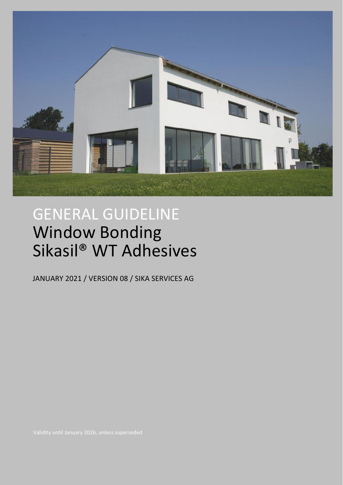

# GENERAL GUIDELINE Window Bonding Sikasil® WT Adhesives

JANUARY 2021 / VERSION 08 / SIKA SERVICES AG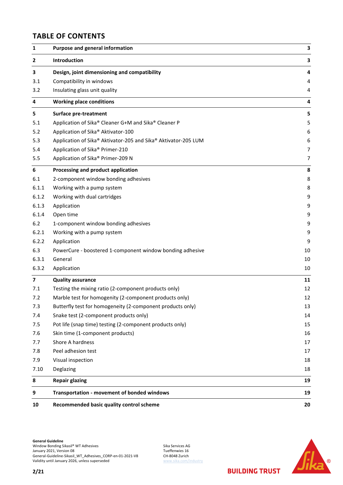## **TABLE OF CONTENTS**

| 1                       | Purpose and general information                                | 3  |
|-------------------------|----------------------------------------------------------------|----|
| $\mathbf{2}$            | Introduction                                                   | 3  |
| 3                       | Design, joint dimensioning and compatibility                   | 4  |
| 3.1                     | Compatibility in windows                                       | 4  |
| 3.2                     | Insulating glass unit quality                                  | 4  |
| $\overline{\mathbf{4}}$ | <b>Working place conditions</b>                                | 4  |
| 5                       | <b>Surface pre-treatment</b>                                   | 5  |
| 5.1                     | Application of Sika® Cleaner G+M and Sika® Cleaner P           | 5  |
| 5.2                     | Application of Sika® Aktivator-100                             | 6  |
| 5.3                     | Application of Sika® Aktivator-205 and Sika® Aktivator-205 LUM | 6  |
| 5.4                     | Application of Sika® Primer-210                                | 7  |
| 5.5                     | Application of Sika® Primer-209 N                              | 7  |
| $\boldsymbol{6}$        | Processing and product application                             | 8  |
| 6.1                     | 2-component window bonding adhesives                           | 8  |
| 6.1.1                   | Working with a pump system                                     | 8  |
| 6.1.2                   | Working with dual cartridges                                   | 9  |
| 6.1.3                   | Application                                                    | 9  |
| 6.1.4                   | Open time                                                      | 9  |
| $6.2$                   | 1-component window bonding adhesives                           | 9  |
| 6.2.1                   | Working with a pump system                                     | 9  |
| 6.2.2                   | Application                                                    | 9  |
| 6.3                     | PowerCure - boostered 1-component window bonding adhesive      | 10 |
| 6.3.1                   | General                                                        | 10 |
| 6.3.2                   | Application                                                    | 10 |
| $\overline{\mathbf{z}}$ | <b>Quality assurance</b>                                       | 11 |
| 7.1                     | Testing the mixing ratio (2-component products only)           | 12 |
| 7.2                     | Marble test for homogenity (2-component products only)         | 12 |
| 7.3                     | Butterfly test for homogeneity (2-component products only)     | 13 |
| 7.4                     | Snake test (2-component products only)                         | 14 |
| 7.5                     | Pot life (snap time) testing (2-component products only)       | 15 |
| 7.6                     | Skin time (1-component products)                               | 16 |
| 7.7                     | Shore A hardness                                               | 17 |
| 7.8                     | Peel adhesion test                                             | 17 |
| 7.9                     | Visual inspection                                              | 18 |
| 7.10                    | Deglazing                                                      | 18 |
| 8                       | <b>Repair glazing</b>                                          | 19 |
| 9                       | Transportation - movement of bonded windows                    | 19 |
| 10                      | Recommended basic quality control scheme                       | 20 |

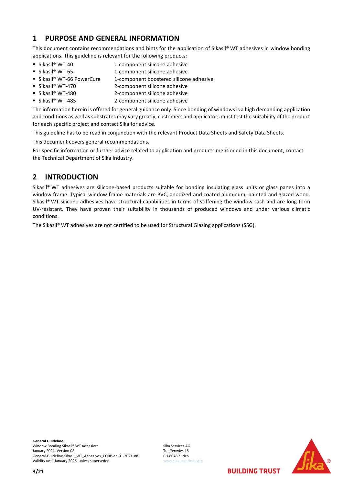## <span id="page-2-0"></span>**1 PURPOSE AND GENERAL INFORMATION**

This document contains recommendations and hints for the application of Sikasil® WT adhesives in window bonding applications. This guideline is relevant for the following products:

- 
- Sikasil® WT-40 1-component silicone adhesive ■ Sikasil® WT-65 1-component silicone adhesive
- Sikasil® WT-66 PowerCure 1-component boostered silicone adhesive
- Sikasil® WT-470 2-component silicone adhesive
- Sikasil® WT-480 2-component silicone adhesive
- Sikasil® WT-485 2-component silicone adhesive

The information herein is offered for general guidance only. Since bonding of windows is a high demanding application and conditions as well as substrates may vary greatly, customers and applicators must test the suitability of the product for each specific project and contact Sika for advice.

This guideline has to be read in conjunction with the relevant Product Data Sheets and Safety Data Sheets.

This document covers general recommendations.

For specific information or further advice related to application and products mentioned in this document, contact the Technical Department of Sika Industry.

## <span id="page-2-1"></span>**2 INTRODUCTION**

Sikasil® WT adhesives are silicone-based products suitable for bonding insulating glass units or glass panes into a window frame. Typical window frame materials are PVC, anodized and coated aluminum, painted and glazed wood. Sikasil® WT silicone adhesives have structural capabilities in terms of stiffening the window sash and are long-term UV-resistant. They have proven their suitability in thousands of produced windows and under various climatic conditions.

The Sikasil® WT adhesives are not certified to be used for Structural Glazing applications (SSG).

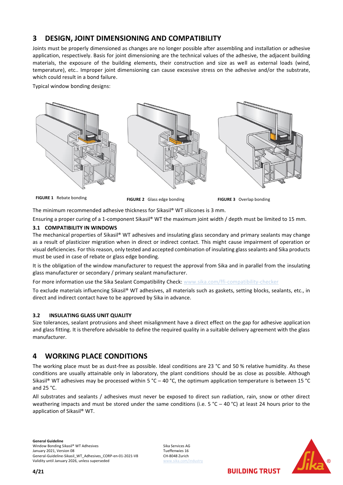## <span id="page-3-0"></span>**3 DESIGN, JOINT DIMENSIONING AND COMPATIBILITY**

Joints must be properly dimensioned as changes are no longer possible after assembling and installation or adhesive application, respectively. Basis for joint dimensioning are the technical values of the adhesive, the adjacent building materials, the exposure of the building elements, their construction and size as well as external loads (wind, temperature), etc.. Improper joint dimensioning can cause excessive stress on the adhesive and/or the substrate, which could result in a bond failure.

Typical window bonding designs:



**FIGURE 1** Rebate bonding **FIGURE 2** Glass edge bonding **FIGURE 3** Overlap bonding

The minimum recommended adhesive thickness for Sikasil® WT silicones is 3 mm.

Ensuring a proper curing of a 1-component Sikasil® WT the maximum joint width / depth must be limited to 15 mm.

#### <span id="page-3-1"></span>**3.1 COMPATIBILITY IN WINDOWS**

The mechanical properties of Sikasil® WT adhesives and insulating glass secondary and primary sealants may change as a result of plasticizer migration when in direct or indirect contact. This might cause impairment of operation or visual deficiencies. For this reason, only tested and accepted combination of insulating glass sealants and Sika products must be used in case of rebate or glass edge bonding.

It is the obligation of the window manufacturer to request the approval from Sika and in parallel from the insulating glass manufacturer or secondary / primary sealant manufacturer.

For more information use the Sika Sealant Compatibility Check: [www.sika.com/ffi-compatibility-checker](http://www.sika.com/ffi-compatibility-checker)

To exclude materials influencing Sikasil® WT adhesives, all materials such as gaskets, setting blocks, sealants, etc., in direct and indirect contact have to be approved by Sika in advance.

#### <span id="page-3-2"></span>**3.2 INSULATING GLASS UNIT QUALITY**

Size tolerances, sealant protrusions and sheet misalignment have a direct effect on the gap for adhesive application and glass fitting. It is therefore advisable to define the required quality in a suitable delivery agreement with the glass manufacturer.

## <span id="page-3-3"></span>**4 WORKING PLACE CONDITIONS**

The working place must be as dust-free as possible. Ideal conditions are 23 °C and 50 % relative humidity. As these conditions are usually attainable only in laboratory, the plant conditions should be as close as possible. Although Sikasil® WT adhesives may be processed within 5 °C – 40 °C, the optimum application temperature is between 15 °C and 25 °C.

All substrates and sealants / adhesives must never be exposed to direct sun radiation, rain, snow or other direct weathering impacts and must be stored under the same conditions (i.e.  $5 °C - 40 °C$ ) at least 24 hours prior to the application of Sikasil® WT.

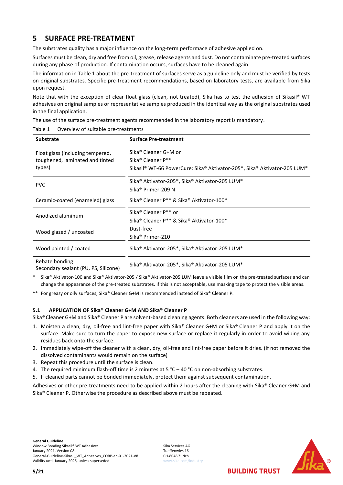## <span id="page-4-0"></span>**5 SURFACE PRE-TREATMENT**

The substrates quality has a major influence on the long-term performace of adhesive applied on.

Surfaces must be clean, dry and free from oil, grease, release agents and dust. Do not contaminate pre-treated surfaces during any phase of production. If contamination occurs, surfaces have to be cleaned again.

The information in [Table 1](#page-4-2) about the pre-treatment of surfaces serve as a guideline only and must be verified by tests on original substrates. Specific pre-treatment recommendations, based on laboratory tests, are available from Sika upon request.

Note that with the exception of clear float glass (clean, not treated), Sika has to test the adhesion of Sikasil® WT adhesives on original samples or representative samples produced in the identical way as the original substrates used in the final application.

The use of the surface pre-treatment agents recommended in the laboratory report is mandatory.

<span id="page-4-2"></span>

| Table 1 | Overview of suitable pre-treatments |  |
|---------|-------------------------------------|--|
|         |                                     |  |

| <b>Substrate</b>                                        | <b>Surface Pre-treatment</b>                                             |  |  |
|---------------------------------------------------------|--------------------------------------------------------------------------|--|--|
| Float glass (including tempered,                        | Sika® Cleaner G+M or                                                     |  |  |
| toughened, laminated and tinted                         | Sika <sup>®</sup> Cleaner P**                                            |  |  |
| types)                                                  | Sikasil® WT-66 PowerCure: Sika® Aktivator-205*, Sika® Aktivator-205 LUM* |  |  |
| <b>PVC</b>                                              | Sika <sup>®</sup> Aktivator-205*, Sika® Aktivator-205 LUM*               |  |  |
|                                                         | Sika <sup>®</sup> Primer-209 N                                           |  |  |
| Ceramic-coated (enameled) glass                         | Sika® Cleaner P** & Sika® Aktivator-100*                                 |  |  |
| Anodized aluminum                                       | Sika <sup>®</sup> Cleaner P <sup>**</sup> or                             |  |  |
|                                                         | Sika® Cleaner P** & Sika® Aktivator-100*                                 |  |  |
| Wood glazed / uncoated                                  | Dust-free                                                                |  |  |
|                                                         | Sika <sup>®</sup> Primer-210                                             |  |  |
| Wood painted / coated                                   | Sika <sup>®</sup> Aktivator-205*, Sika® Aktivator-205 LUM*               |  |  |
| Rebate bonding:<br>Secondary sealant (PU, PS, Silicone) | Sika® Aktivator-205*, Sika® Aktivator-205 LUM*                           |  |  |

Sika® Aktivator-100 and Sika® Aktivator-205 / Sika® Aktivator-205 LUM leave a visible film on the pre-treated surfaces and can change the appearance of the pre-treated substrates. If this is not acceptable, use masking tape to protect the visible areas.

\*\* For greasy or oily surfaces, Sika® Cleaner G+M is recommended instead of Sika® Cleaner P.

#### <span id="page-4-1"></span>**5.1 APPLICATION OF Sika® Cleaner G+M AND Sika® Cleaner P**

Sika® Cleaner G+M and Sika® Cleaner P are solvent-based cleaning agents. Both cleaners are used in the following way:

- 1. Moisten a clean, dry, oil-free and lint-free paper with Sika® Cleaner G+M or Sika® Cleaner P and apply it on the surface. Make sure to turn the paper to expose new surface or replace it regularly in order to avoid wiping any residues back onto the surface.
- 2. Immediately wipe-off the cleaner with a clean, dry, oil-free and lint-free paper before it dries. (If not removed the dissolved contaminants would remain on the surface)
- 3. Repeat this procedure until the surface is clean.
- 4. The required minimum flash-off time is 2 minutes at 5 °C 40 °C on non-absorbing substrates.
- 5. If cleaned parts cannot be bonded immediately, protect them against subsequent contamination.

Adhesives or other pre-treatments need to be applied within 2 hours after the cleaning with Sika® Cleaner G+M and Sika® Cleaner P. Otherwise the procedure as described above must be repeated.

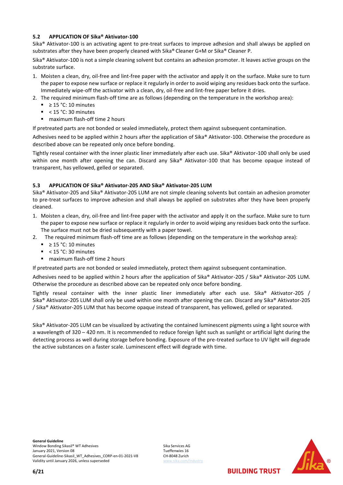#### <span id="page-5-0"></span>**5.2 APPLICATION OF Sika® Aktivator-100**

Sika® Aktivator-100 is an activating agent to pre-treat surfaces to improve adhesion and shall always be applied on substrates after they have been properly cleaned with Sika® Cleaner G+M or Sika® Cleaner P.

Sika® Aktivator-100 is not a simple cleaning solvent but contains an adhesion promoter. It leaves active groups on the substrate surface.

- 1. Moisten a clean, dry, oil-free and lint-free paper with the activator and apply it on the surface. Make sure to turn the paper to expose new surface or replace it regularly in order to avoid wiping any residues back onto the surface. Immediately wipe-off the activator with a clean, dry, oil-free and lint-free paper before it dries.
- 2. The required minimum flash-off time are as follows (depending on the temperature in the workshop area):
	- $\geq$  15 °C: 10 minutes
	- $\blacksquare$  < 15 °C: 30 minutes
	- maximum flash-off time 2 hours

If pretreated parts are not bonded or sealed immediately, protect them against subsequent contamination.

Adhesives need to be applied within 2 hours after the application of Sika® Aktivator-100. Otherwise the procedure as described above can be repeated only once before bonding.

Tightly reseal container with the inner plastic liner immediately after each use. Sika® Aktivator-100 shall only be used within one month after opening the can. Discard any Sika® Aktivator-100 that has become opaque instead of transparent, has yellowed, gelled or separated.

#### <span id="page-5-1"></span>**5.3 APPLICATION OF Sika® Aktivator-205 AND Sika® Aktivator-205 LUM**

Sika® Aktivator-205 and Sika® Aktivator-205 LUM are not simple cleaning solvents but contain an adhesion promoter to pre-treat surfaces to improve adhesion and shall always be applied on substrates after they have been properly cleaned.

- 1. Moisten a clean, dry, oil-free and lint-free paper with the activator and apply it on the surface. Make sure to turn the paper to expose new surface or replace it regularly in order to avoid wiping any residues back onto the surface. The surface must not be dried subsequently with a paper towel.
- 2. The required minimum flash-off time are as follows (depending on the temperature in the workshop area):
	- $\geq$  15 °C: 10 minutes
	- < 15 °C: 30 minutes
	- maximum flash-off time 2 hours

If pretreated parts are not bonded or sealed immediately, protect them against subsequent contamination.

Adhesives need to be applied within 2 hours after the application of Sika® Aktivator-205 / Sika® Aktivator-205 LUM. Otherwise the procedure as described above can be repeated only once before bonding.

Tightly reseal container with the inner plastic liner immediately after each use. Sika® Aktivator-205 / Sika® Aktivator-205 LUM shall only be used within one month after opening the can. Discard any Sika® Aktivator-205 / Sika® Aktivator-205 LUM that has become opaque instead of transparent, has yellowed, gelled or separated.

Sika® Aktivator-205 LUM can be visualized by activating the contained luminescent pigments using a light source with a wavelength of 320 ─ 420 nm. It is recommended to reduce foreign light such as sunlight or artificial light during the detecting process as well during storage before bonding. Exposure of the pre-treated surface to UV light will degrade the active substances on a faster scale. Luminescent effect will degrade with time.

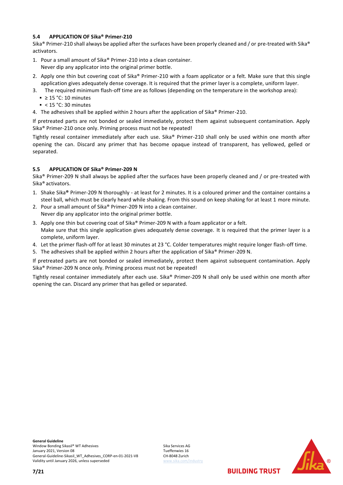#### <span id="page-6-0"></span>**5.4 APPLICATION OF Sika® Primer-210**

Sika® Primer-210 shall always be applied after the surfaces have been properly cleaned and / or pre-treated with Sika® activators.

- 1. Pour a small amount of Sika® Primer-210 into a clean container. Never dip any applicator into the original primer bottle.
- 2. Apply one thin but covering coat of Sika® Primer-210 with a foam applicator or a felt. Make sure that this single application gives adequately dense coverage. It is required that the primer layer is a complete, uniform layer.
- 3. The required minimum flash-off time are as follows (depending on the temperature in the workshop area):
- $≥ 15 °C$ : 10 minutes
	- $\leq 15$  °C: 30 minutes
- 4. The adhesives shall be applied within 2 hours after the application of Sika® Primer-210.

If pretreated parts are not bonded or sealed immediately, protect them against subsequent contamination. Apply Sika® Primer-210 once only. Priming process must not be repeated!

Tightly reseal container immediately after each use. Sika® Primer-210 shall only be used within one month after opening the can. Discard any primer that has become opaque instead of transparent, has yellowed, gelled or separated.

#### <span id="page-6-1"></span>**5.5 APPLICATION OF Sika® Primer-209 N**

Sika® Primer-209 N shall always be applied after the surfaces have been properly cleaned and / or pre-treated with Sika® activators.

- 1. Shake Sika**®** Primer-209 N thoroughly at least for 2 minutes. It is a coloured primer and the container contains a steel ball, which must be clearly heard while shaking. From this sound on keep shaking for at least 1 more minute.
- 2. Pour a small amount of Sika® Primer-209 N into a clean container. Never dip any applicator into the original primer bottle.
- 3. Apply one thin but covering coat of Sika® Primer-209 N with a foam applicator or a felt. Make sure that this single application gives adequately dense coverage. It is required that the primer layer is a complete, uniform layer.
- 4. Let the primer flash-off for at least 30 minutes at 23 °C. Colder temperatures might require longer flash-off time.
- 5. The adhesives shall be applied within 2 hours after the application of Sika® Primer-209 N.

If pretreated parts are not bonded or sealed immediately, protect them against subsequent contamination. Apply Sika® Primer-209 N once only. Priming process must not be repeated!

Tightly reseal container immediately after each use. Sika® Primer-209 N shall only be used within one month after opening the can. Discard any primer that has gelled or separated.

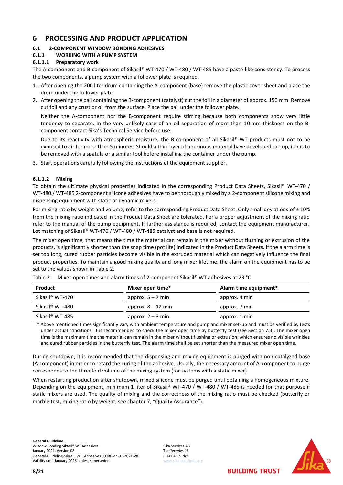## <span id="page-7-0"></span>**6 PROCESSING AND PRODUCT APPLICATION**

## <span id="page-7-1"></span>**6.1 2-COMPONENT WINDOW BONDING ADHESIVES**

#### <span id="page-7-2"></span>**6.1.1 WORKING WITH A PUMP SYSTEM**

#### **6.1.1.1 Preparatory work**

The A-component and B-component of Sikasil® WT-470 / WT-480 / WT-485 have a paste-like consistency. To process the two components, a pump system with a follower plate is required.

- 1. After opening the 200 liter drum containing the A-component (base) remove the plastic cover sheet and place the drum under the follower plate.
- 2. After opening the pail containing the B-component (catalyst) cut the foil in a diameter of approx. 150 mm. Remove cut foil and any crust or oil from the surface. Place the pail under the follower plate.

Neither the A-component nor the B-component require stirring because both components show very little tendency to separate. In the very unlikely case of an oil separation of more than 10 mm thickness on the Bcomponent contact Sika's Technical Service before use.

Due to its reactivity with atmospheric moisture, the B-component of all Sikasil® WT products must not to be exposed to air for more than 5 minutes. Should a thin layer of a resinous material have developed on top, it has to be removed with a spatula or a similar tool before installing the container under the pump.

3. Start operations carefully following the instructions of the equipment supplier.

#### **6.1.1.2 Mixing**

To obtain the ultimate physical properties indicated in the corresponding Product Data Sheets, Sikasil® WT-470 / WT-480 / WT-485 2-component silicone adhesives have to be thoroughly mixed by a 2-component silicone mixing and dispensing equipment with static or dynamic mixers.

For mixing ratio by weight and volume, refer to the corresponding Product Data Sheet. Only small deviations of  $\pm 10\%$ from the mixing ratio indicated in the Product Data Sheet are tolerated. For a proper adjustment of the mixing ratio refer to the manual of the pump equipment. If further assistance is required, contact the equipment manufacturer. Lot matching of Sikasil® WT-470 / WT-480 / WT-485 catalyst and base is not required.

The mixer open time, that means the time the material can remain in the mixer without flushing or extrusion of the products, is significantly shorter than the snap time (pot life) indicated in the Product Data Sheets. If the alarm time is set too long, cured rubber particles become visible in the extruded material which can negatively influence the final product properties. To maintain a good mixing quality and long mixer lifetime, the alarm on the equipment has to be set to the values shown in [Table 2.](#page-7-3)

| <b>Product</b>  | Mixer open time*     | Alarm time equipment* |
|-----------------|----------------------|-----------------------|
| Sikasil® WT-470 | approx. $5 - 7$ min  | approx. 4 min         |
| Sikasil® WT-480 | approx. $8 - 12$ min | approx. 7 min         |
| Sikasil® WT-485 | approx. $2 - 3$ min  | approx. 1 min         |

<span id="page-7-3"></span>Table 2 Mixer-open times and alarm times of 2-component Sikasil® WT adhesives at 23 °C

\* Above mentioned times significantly vary with ambient temperature and pump and mixer set-up and must be verified by tests under actual conditions. It is recommended to check the mixer open time by butterfly test (see Section [7.3\)](#page-12-0). The mixer open time is the maximum time the material can remain in the mixer without flushing or extrusion, which ensures no visible wrinkles and cured rubber particles in the butterfly test. The alarm time shall be set shorter than the measured mixer open time.

During shutdown, it is recommended that the dispensing and mixing equipment is purged with non-catalyzed base (A-component) in order to retard the curing of the adhesive. Usually, the necessary amount of A-component to purge corresponds to the threefold volume of the mixing system (for systems with a static mixer).

When restarting production after shutdown, mixed silicone must be purged until obtaining a homogeneous mixture. Depending on the equipment, minimum 1 liter of Sikasil® WT-470 / WT-480 / WT-485 is needed for that purpose if static mixers are used. The quality of mixing and the correctness of the mixing ratio must be checked (butterfly or marble test, mixing ratio by weight, see chapter [7,](#page-10-0) "Quality Assurance").

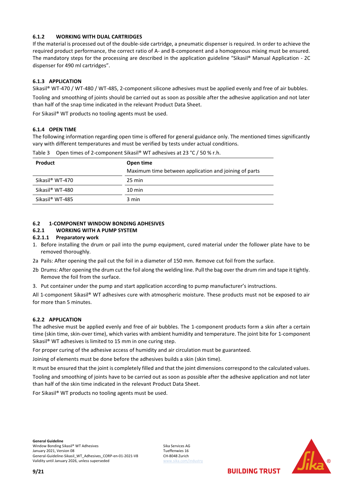#### <span id="page-8-0"></span>**6.1.2 WORKING WITH DUAL CARTRIDGES**

If the material is processed out of the double-side cartridge, a pneumatic dispenser is required. In order to achieve the required product performance, the correct ratio of A- and B-component and a homogenous mixing must be ensured. The mandatory steps for the processing are described in the application guideline "Sikasil® Manual Application - 2C dispenser for 490 ml cartridges".

#### <span id="page-8-1"></span>**6.1.3 APPLICATION**

Sikasil® WT-470 / WT-480 / WT-485, 2-component silicone adhesives must be applied evenly and free of air bubbles.

Tooling and smoothing of joints should be carried out as soon as possible after the adhesive application and not later than half of the snap time indicated in the relevant Product Data Sheet.

For Sikasil® WT products no tooling agents must be used.

#### <span id="page-8-2"></span>**6.1.4 OPEN TIME**

The following information regarding open time is offered for general guidance only. The mentioned times significantly vary with different temperatures and must be verified by tests under actual conditions.

| <b>Product</b>  | Open time<br>Maximum time between application and joining of parts |  |  |
|-----------------|--------------------------------------------------------------------|--|--|
| Sikasil® WT-470 | $25 \text{ min}$                                                   |  |  |
| Sikasil® WT-480 | $10 \text{ min}$                                                   |  |  |
| Sikasil® WT-485 | 3 min                                                              |  |  |

Table 3 Open times of 2-component Sikasil® WT adhesives at 23 °C / 50 % r.h.

### <span id="page-8-3"></span>**6.2 1-COMPONENT WINDOW BONDING ADHESIVES**

## <span id="page-8-4"></span>**6.2.1 WORKING WITH A PUMP SYSTEM**

#### **6.2.1.1 Preparatory work**

- 1. Before installing the drum or pail into the pump equipment, cured material under the follower plate have to be removed thoroughly.
- 2a Pails: After opening the pail cut the foil in a diameter of 150 mm. Remove cut foil from the surface.
- 2b Drums: After opening the drum cut the foil along the welding line. Pull the bag over the drum rim and tape it tightly. Remove the foil from the surface.
- 3. Put container under the pump and start application according to pump manufacturer's instructions.

All 1-component Sikasil® WT adhesives cure with atmospheric moisture. These products must not be exposed to air for more than 5 minutes.

#### <span id="page-8-5"></span>**6.2.2 APPLICATION**

The adhesive must be applied evenly and free of air bubbles. The 1-component products form a skin after a certain time (skin time, skin-over time), which varies with ambient humidity and temperature. The joint bite for 1-component Sikasil® WT adhesives is limited to 15 mm in one curing step.

For proper curing of the adhesive access of humidity and air circulation must be guaranteed.

Joining of elements must be done before the adhesives builds a skin (skin time).

It must be ensured that the joint is completely filled and that the joint dimensions correspond to the calculated values.

Tooling and smoothing of joints have to be carried out as soon as possible after the adhesive application and not later than half of the skin time indicated in the relevant Product Data Sheet.

For Sikasil® WT products no tooling agents must be used.

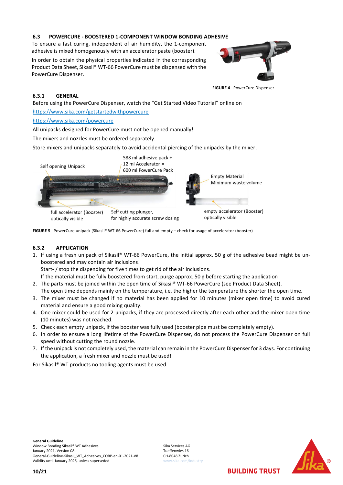#### <span id="page-9-0"></span>**6.3 POWERCURE - BOOSTERED 1-COMPONENT WINDOW BONDING ADHESIVE**

To ensure a fast curing, independent of air humidity, the 1-component adhesive is mixed homogenously with an accelerator paste (booster).

In order to obtain the physical properties indicated in the corresponding Product Data Sheet, Sikasil® WT-66 PowerCure must be dispensed with the PowerCure Dispenser.



**FIGURE 4** PowerCure Dispenser

#### <span id="page-9-1"></span>**6.3.1 GENERAL**

Before using the PowerCure Dispenser, watch the "Get Started Video Tutorial" online on

https://www.sika.com/getstartedwithpowercure

https://www.sika.com/powercure

All unipacks designed for PowerCure must not be opened manually!

The mixers and nozzles must be ordered separately.

Store mixers and unipacks separately to avoid accidental piercing of the unipacks by the mixer.



**FIGURE 5** PowerCure unipack (Sikasil® WT-66 PowerCure) full and empty – check for usage of accelerator (booster)

#### <span id="page-9-2"></span>**6.3.2 APPLICATION**

1. If using a fresh unipack of Sikasil® WT-66 PowerCure, the initial approx. 50 g of the adhesive bead might be unboostered and may contain air inclusions!

Start- / stop the dispending for five times to get rid of the air inclusions.

If the material must be fully boostered from start, purge approx. 50 g before starting the application

- 2. The parts must be joined within the open time of Sikasil® WT-66 PowerCure (see Product Data Sheet). The open time depends mainly on the temperature, i.e. the higher the temperature the shorter the open time.
- 3. The mixer must be changed if no material has been applied for 10 minutes (mixer open time) to avoid cured material and ensure a good mixing quality.
- 4. One mixer could be used for 2 unipacks, if they are processed directly after each other and the mixer open time (10 minutes) was not reached.
- 5. Check each empty unipack, if the booster was fully used (booster pipe must be completely empty).
- 6. In order to ensure a long lifetime of the PowerCure Dispenser, do not process the PowerCure Dispenser on full speed without cutting the round nozzle.
- 7. If the unipack is not completely used, the material can remain in the PowerCure Dispenser for 3 days. For continuing the application, a fresh mixer and nozzle must be used!

For Sikasil® WT products no tooling agents must be used.

**General Guideline** Window Bonding Sikasil® WT Adhesives Sika Services AG<br>January 2021, Version 08 January 2021, Version 08<br>General-Guideline-Sikasil WT Adhesives CORP-en-01-2021-V8 CH-8048 Zurich General-Guideline-Sikasil\_WT\_Adhesives\_CORP-en-01-2021-V8 Validity until January 2026, unless superseded

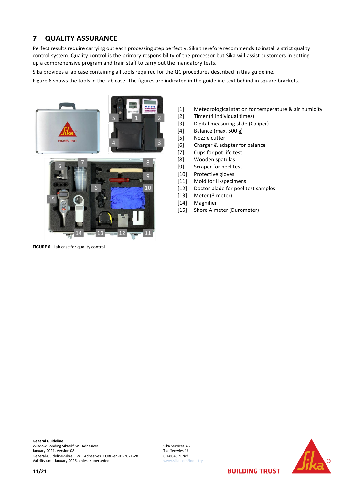## <span id="page-10-0"></span>**7 QUALITY ASSURANCE**

Perfect results require carrying out each processing step perfectly. Sika therefore recommends to install a strict quality control system. Quality control is the primary responsibility of the processor but Sika will assist customers in setting up a comprehensive program and train staff to carry out the mandatory tests.

Sika provides a lab case containing all tools required for the QC procedures described in this guideline.

Figure 6 shows the tools in the lab case. The figures are indicated in the guideline text behind in square brackets.



**FIGURE 6** Lab case for quality control

- [1] Meteorological station for temperature & air humidity
- [2] Timer (4 individual times)
- [3] Digital measuring slide (Caliper)
- [4] Balance (max. 500 g)
- [5] Nozzle cutter
- [6] Charger & adapter for balance
- [7] Cups for pot life test
- [8] Wooden spatulas
- [9] Scraper for peel test
- [10] Protective gloves
- [11] Mold for H-specimens
- [12] Doctor blade for peel test samples
- [13] Meter (3 meter)
- [14] Magnifier
- [15] Shore A meter (Durometer)

**General Guideline** Window Bonding Sikasil® WT Adhesives Sika Services AG<br>
January 2021, Version 08 January 2021, Version 08<br>General-Guideline-Sikasil\_WT\_Adhesives\_CORP-en-01-2021-V8 CH-8048 Zurich General-Guideline-Sikasil\_WT\_Adhesives\_CORP-en-01-2021-V8 Validity until January 2026, unless superseded [www.sika.com/industry](http://www.sika.com/industry)

**11/21**



**BUILDING TRUST**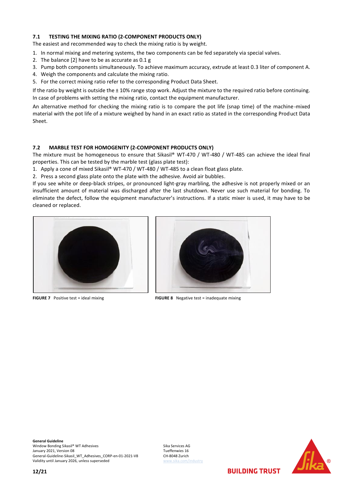#### <span id="page-11-3"></span><span id="page-11-2"></span><span id="page-11-0"></span>**7.1 TESTING THE MIXING RATIO (2-COMPONENT PRODUCTS ONLY)**

The easiest and recommended way to check the mixing ratio is by weight.

- 1. In normal mixing and metering systems, the two components can be fed separately via special valves.
- 2. The balance [2] have to be as accurate as 0.1 g
- 3. Pump both components simultaneously. To achieve maximum accuracy, extrude at least 0.3 liter of component A.
- 4. Weigh the components and calculate the mixing ratio.
- 5. For the correct mixing ratio refer to the corresponding Product Data Sheet.

If the ratio by weight is outside the  $\pm$  10% range stop work. Adjust the mixture to the required ratio before continuing. In case of problems with setting the mixing ratio, contact the equipment manufacturer.

An alternative method for checking the mixing ratio is to compare the pot life (snap time) of the machine-mixed material with the pot life of a mixture weighed by hand in an exact ratio as stated in the corresponding Product Data Sheet.

#### <span id="page-11-1"></span>**7.2 MARBLE TEST FOR HOMOGENITY (2-COMPONENT PRODUCTS ONLY)**

The mixture must be homogeneous to ensure that Sikasil® WT-470 / WT-480 / WT-485 can achieve the ideal final properties. This can be tested by the marble test (glass plate test):

1. Apply a cone of mixed Sikasil® WT-470 / WT-480 / WT-485 to a clean float glass plate.

2. Press a second glass plate onto the plate with the adhesive. Avoid air bubbles.

If you see white or deep-black stripes, or pronounced light-gray marbling, the adhesive is not properly mixed or an insufficient amount of material was discharged after the last shutdown. Never use such material for bonding. To eliminate the defect, follow the equipment manufacturer's instructions. If a static mixer is used, it may have to be cleaned or replaced.





**FIGURE 7** Positive test = ideal mixing **FIGURE 8** Negative test = inadequate mixing

**General Guideline** Window Bonding Sikasil® WT Adhesives Sika Services AG<br>January 2021, Version 08 January 2021, Version 08<br>General-Guideline-Sikasil WT Adhesives CORP-en-01-2021-V8 CH-8048 Zurich General-Guideline-Sikasil\_WT\_Adhesives\_CORP-en-01-2021-V8 Validity until January 2026, unless superseded [www.sika.com/industry](http://www.sika.com/industry)

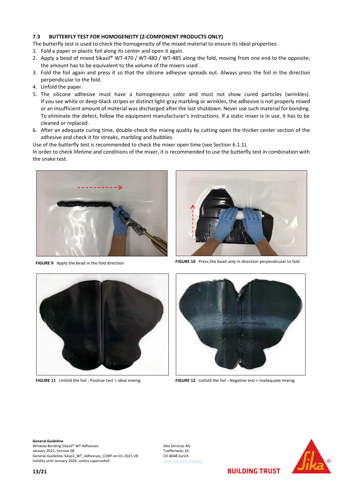#### <span id="page-12-1"></span><span id="page-12-0"></span>**7.3 BUTTERFLY TEST FOR HOMOGENEITY (2-COMPONENT PRODUCTS ONLY)**

The butterfly test is used to check the homogeneity of the mixed material to ensure its ideal properties.

- 1. Fold a paper or plastic foil along its center and open it again.
- 2. Apply a bead of mixed Sikasil® WT-470 / WT-480 / WT-485 along the fold, moving from one end to the opposite; the amount has to be equivalent to the volume of the mixers used.
- 3. Fold the foil again and press it so that the silicone adhesive spreads out. Always press the foil in the direction perpendicular to the fold.
- 4. Unfold the paper.
- 5. The silicone adhesive must have a homogeneous color and must not show cured particles (wrinkles). If you see white or deep-black stripes or distinct light-gray marbling or wrinkles, the adhesive is not properly mixed or an insufficient amount of material was discharged after the last shutdown. Never use such material for bonding. To eliminate the defect, follow the equipment manufacturer's instructions. If a static mixer is in use, it has to be cleaned or replaced.
- 6. After an adequate curing time, double-check the mixing quality by cutting open the thicker center section of the adhesive and check it for streaks, marbling and bubbles.

Use of the butterfly test is recommended to check the mixer open time (see Section 6.1.1).

In order to check lifetime and conditions of the mixer, it is recommended to use the butterfly test in combination with the snake test.





**FIGURE 9** Apply the bead in the fold direction **FIGURE 10** Press the bead only in direction perpendicular to fold





**FIGURE 11** Unfold the foil **-** Positive test = ideal mixing **FIGURE 12** Unfold the foil **-** Negative test = inadequate mixing

**General Guideline** Window Bonding Sikasil® WT Adhesives Sika Services AG Sika Services AG Sika Services AG Sika Services AG Sika Services AG Sika Services AG Sika Services AG Sika Services AG Sika Services AG Sika Services AG Sika Services 1 January 2021, Version 08<br>General-Guideline-Sikasil WT Adhesives CORP-en-01-2021-V8 CH-8048 Zurich General-Guideline-Sikasil\_WT\_Adhesives\_CORP-en-01-2021-V8 Validity until January 2026, unless superseded [www.sika.com/industry](http://www.sika.com/industry)

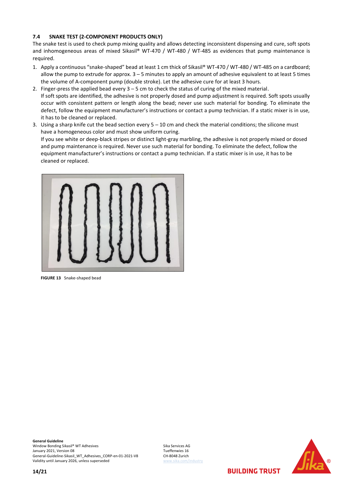#### <span id="page-13-1"></span><span id="page-13-0"></span>**7.4 SNAKE TEST (2-COMPONENT PRODUCTS ONLY)**

The snake test is used to check pump mixing quality and allows detecting inconsistent dispensing and cure, soft spots and inhomogeneous areas of mixed Sikasil® WT-470 / WT-480 / WT-485 as evidences that pump maintenance is required.

- 1. Apply a continuous "snake-shaped" bead at least 1 cm thick of Sikasil® WT-470 / WT-480 / WT-485 on a cardboard; allow the pump to extrude for approx.  $3 - 5$  minutes to apply an amount of adhesive equivalent to at least 5 times the volume of A-component pump (double stroke). Let the adhesive cure for at least 3 hours.
- 2. Finger-press the applied bead every  $3 5$  cm to check the status of curing of the mixed material. If soft spots are identified, the adhesive is not properly dosed and pump adjustment is required. Soft spots usually occur with consistent pattern or length along the bead; never use such material for bonding. To eliminate the defect, follow the equipment manufacturer's instructions or contact a pump technician. If a static mixer is in use, it has to be cleaned or replaced.
- 3. Using a sharp knife cut the bead section every 5 10 cm and check the material conditions; the silicone must have a homogeneous color and must show uniform curing. If you see white or deep-black stripes or distinct light-gray marbling, the adhesive is not properly mixed or dosed and pump maintenance is required. Never use such material for bonding. To eliminate the defect, follow the equipment manufacturer's instructions or contact a pump technician. If a static mixer is in use, it has to be cleaned or replaced.



**FIGURE 13** Snake-shaped bead

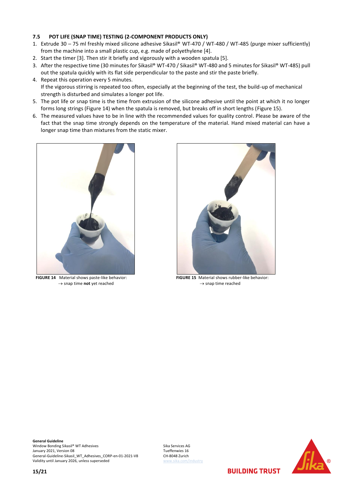#### <span id="page-14-3"></span><span id="page-14-0"></span>**7.5 POT LIFE (SNAP TIME) TESTING (2-COMPONENT PRODUCTS ONLY)**

- 1. Extrude 30 ─ 75 ml freshly mixed silicone adhesive Sikasil® WT-470 / WT-480 / WT-485 (purge mixer sufficiently) from the machine into a small plastic cup, e.g. made of polyethylene [4].
- 2. Start the timer [3]. Then stir it briefly and vigorously with a wooden spatula [5].
- 3. After the respective time (30 minutes for Sikasil® WT-470 / Sikasil® WT-480 and 5 minutes for Sikasil® WT-485) pull out the spatula quickly with its flat side perpendicular to the paste and stir the paste briefly.
- 4. Repeat this operation every 5 minutes. If the vigorous stirring is repeated too often, especially at the beginning of the test, the build-up of mechanical strength is disturbed and simulates a longer pot life.
- 5. The pot life or snap time is the time from extrusion of the silicone adhesive until the point at which it no longer forms long strings [\(Figure 14\)](#page-14-1) when the spatula is removed, but breaks off in short lengths [\(Figure 15\)](#page-14-2).
- 6. The measured values have to be in line with the recommended values for quality control. Please be aware of the fact that the snap time strongly depends on the temperature of the material. Hand mixed material can have a longer snap time than mixtures from the static mixer.

<span id="page-14-1"></span>

**FIGURE 14** Material shows paste-like behavior: → snap time **not** yet reached

<span id="page-14-2"></span>

**FIGURE 15** Material shows rubber-like behavior:  $\rightarrow$  snap time reached

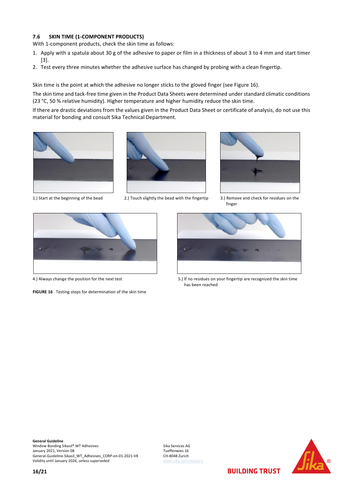#### <span id="page-15-0"></span>**7.6 SKIN TIME (1-COMPONENT PRODUCTS)**

With 1-component products, check the skin time as follows:

- 1. Apply with a spatula about 30 g of the adhesive to paper or film in a thickness of about 3 to 4 mm and start timer [3].
- 2. Test every three minutes whether the adhesive surface has changed by probing with a clean fingertip.

Skin time is the point at which the adhesive no longer sticks to the gloved finger (see [Figure 16\)](#page-15-1).

The skin time and tack-free time given in the Product Data Sheets were determined under standard climatic conditions (23 °C, 50 % relative humidity). Higher temperature and higher humidity reduce the skin time.

If there are drastic deviations from the values given in the Product Data Sheet or certificate of analysis, do not use this material for bonding and consult Sika Technical Department.







1.) Start at the beginning of the bead 2.) Touch slightly the bead with the fingertip 3.) Remove and check for residues on the finger



<span id="page-15-1"></span>**FIGURE 16** Testing steps for determination of the skin time



4.) Always change the position for the next test 5.) If no residues on your fingertip are recognized the skin time has been reached

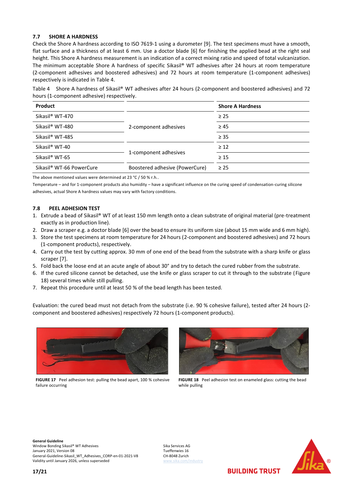#### <span id="page-16-0"></span>**7.7 SHORE A HARDNESS**

Check the Shore A hardness according to ISO 7619-1 using a durometer [9]. The test specimens must have a smooth, flat surface and a thickness of at least 6 mm. Use a doctor blade [6] for finishing the applied bead at the right seal height. This Shore A hardness measurement is an indication of a correct mixing ratio and speed of total vulcanization. The minimum acceptable Shore A hardness of specific Sikasil® WT adhesives after 24 hours at room temperature (2-component adhesives and boostered adhesives) and 72 hours at room temperature (1-component adhesives) respectively is indicated in [Table 4.](#page-16-2)

<span id="page-16-2"></span>Table 4 Shore A hardness of Sikasil® WT adhesives after 24 hours (2-component and boostered adhesives) and 72 hours (1-component adhesive) respectively.

| <b>Product</b>                       | <b>Shore A Hardness</b>        |           |
|--------------------------------------|--------------------------------|-----------|
| Sikasil <sup>®</sup> WT-470          |                                | $\geq$ 25 |
| Sikasil <sup>®</sup> WT-480          | 2-component adhesives          | $\geq 45$ |
| Sikasil <sup>®</sup> WT-485          |                                | $\geq$ 35 |
| Sikasil <sup>®</sup> WT-40           |                                | $\geq 12$ |
| Sikasil <sup>®</sup> WT-65           | 1-component adhesives          | $\geq 15$ |
| Sikasil <sup>®</sup> WT-66 PowerCure | Boostered adhesive (PowerCure) | $\geq$ 25 |

The above mentioned values were determined at 23 °C / 50 % r.h..

Temperature – and for 1-component products also humidity – have a significant influence on the curing speed of condensation-curing silicone adhesives, actual Shore A hardness values may vary with factory conditions.

#### <span id="page-16-1"></span>**7.8 PEEL ADHESION TEST**

- 1. Extrude a bead of Sikasil® WT of at least 150 mm length onto a clean substrate of original material (pre-treatment exactly as in production line).
- 2. Draw a scraper e.g. a doctor blade [6] over the bead to ensure its uniform size (about 15 mm wide and 6 mm high).
- 3. Store the test specimens at room temperature for 24 hours (2-component and boostered adhesives) and 72 hours (1-component products), respectively.
- 4. Carry out the test by cutting approx. 30 mm of one end of the bead from the substrate with a sharp knife or glass scraper [7].
- 5. Fold back the loose end at an acute angle of about 30° and try to detach the cured rubber from the substrate.
- 6. If the cured silicone cannot be detached, use the knife or glass scraper to cut it through to the substrate [\(Figure](#page-16-3)  [18\)](#page-16-3) several times while still pulling.
- 7. Repeat this procedure until at least 50 % of the bead length has been tested.

Evaluation: the cured bead must not detach from the substrate (i.e. 90 % cohesive failure), tested after 24 hours (2 component and boostered adhesives) respectively 72 hours (1-component products).



**FIGURE 17** Peel adhesion test: pulling the bead apart, 100 % cohesive failure occurring

<span id="page-16-3"></span>

**FIGURE 18** Peel adhesion test on enameled glass: cutting the bead while pulling

**General Guideline** Window Bonding Sikasil® WT Adhesives Sika Services AG Sika Services AG Sika Services AG Sika Services AG Sika Services AG Sika Services AG Sika Services AG Sika Services AG Sika Services AG Sika Services AG Sika Services 1 January 2021, Version 08<br>General-Guideline-Sikasil WT Adhesives CORP-en-01-2021-V8 CH-8048 Zurich General-Guideline-Sikasil\_WT\_Adhesives\_CORP-en-01-2021-V8 Validity until January 2026, unless superseded

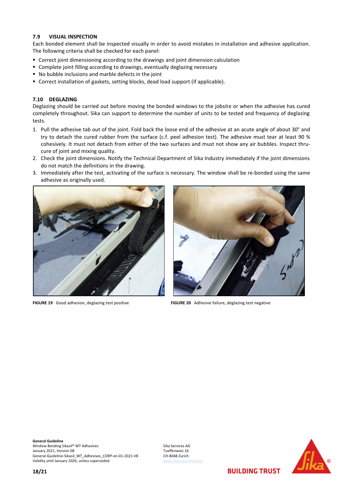#### <span id="page-17-0"></span>**7.9 VISUAL INSPECTION**

Each bonded element shall be inspected visually in order to avoid mistakes in installation and adhesive application. The following criteria shall be checked for each panel:

- Correct joint dimensioning according to the drawings and joint dimension calculation
- Complete joint filling according to drawings, eventually deglazing necessary
- No bubble inclusions and marble defects in the joint
- Correct installation of gaskets, setting blocks, dead load support (if applicable).

#### <span id="page-17-1"></span>**7.10 DEGLAZING**

Deglazing should be carried out before moving the bonded windows to the jobsite or when the adhesive has cured completely throughout. Sika can support to determine the number of units to be tested and frequency of deglazing tests.

- 1. Pull the adhesive tab out of the joint. Fold back the loose end of the adhesive at an acute angle of about 30° and try to detach the cured rubber from the surface (c.f. peel adhesion test). The adhesive must tear at least 90 % cohesively. It must not detach from either of the two surfaces and must not show any air bubbles. Inspect thrucure of joint and mixing quality.
- 2. Check the joint dimensions. Notify the Technical Department of Sika Industry immediately if the joint dimensions do not match the definitions in the drawing.
- 3. Immediately after the test, activating of the surface is necessary. The window shall be re-bonded using the same adhesive as originally used.





**FIGURE 19** Good adhesion, deglazing test positive **FIGURE 20** Adhesive failure, deglazing test negative

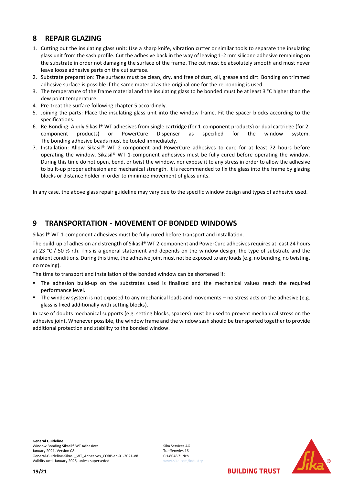## <span id="page-18-0"></span>**8 REPAIR GLAZING**

- 1. Cutting out the insulating glass unit: Use a sharp knife, vibration cutter or similar tools to separate the insulating glass unit from the sash profile. Cut the adhesive back in the way of leaving 1-2 mm silicone adhesive remaining on the substrate in order not damaging the surface of the frame. The cut must be absolutely smooth and must never leave loose adhesive parts on the cut surface.
- 2. Substrate preparation: The surfaces must be clean, dry, and free of dust, oil, grease and dirt. Bonding on trimmed adhesive surface is possible if the same material as the original one for the re-bonding is used.
- 3. The temperature of the frame material and the insulating glass to be bonded must be at least 3 °C higher than the dew point temperature.
- 4. Pre-treat the surface following chapter [5](#page-4-0) accordingly.
- 5. Joining the parts: Place the insulating glass unit into the window frame. Fit the spacer blocks according to the specifications.
- 6. Re-Bonding: Apply Sikasil® WT adhesives from single cartridge (for 1-component products) or dual cartridge (for 2 component products) or PowerCure Dispenser as specified for the window system. The bonding adhesive beads must be tooled immediately.
- 7. Installation: Allow Sikasil® WT 2-component and PowerCure adhesives to cure for at least 72 hours before operating the window. Sikasil® WT 1-component adhesives must be fully cured before operating the window. During this time do not open, bend, or twist the window, nor expose it to any stress in order to allow the adhesive to built-up proper adhesion and mechanical strength. It is recommended to fix the glass into the frame by glazing blocks or distance holder in order to minimize movement of glass units.

In any case, the above glass repair guideline may vary due to the specific window design and types of adhesive used.

## <span id="page-18-1"></span>**9 TRANSPORTATION - MOVEMENT OF BONDED WINDOWS**

Sikasil® WT 1-component adhesives must be fully cured before transport and installation.

The build-up of adhesion and strength of Sikasil® WT 2-component and PowerCure adhesives requires at least 24 hours at 23 °C / 50 % r.h. This is a general statement and depends on the window design, the type of substrate and the ambient conditions. During this time, the adhesive joint must not be exposed to any loads(e.g. no bending, no twisting, no moving).

The time to transport and installation of the bonded window can be shortened if:

- The adhesion build-up on the substrates used is finalized and the mechanical values reach the required performance level.
- The window system is not exposed to any mechanical loads and movements no stress acts on the adhesive (e.g. glass is fixed additionally with setting blocks).

In case of doubts mechanical supports (e.g. setting blocks, spacers) must be used to prevent mechanical stress on the adhesive joint. Whenever possible, the window frame and the window sash should be transported together to provide additional protection and stability to the bonded window.

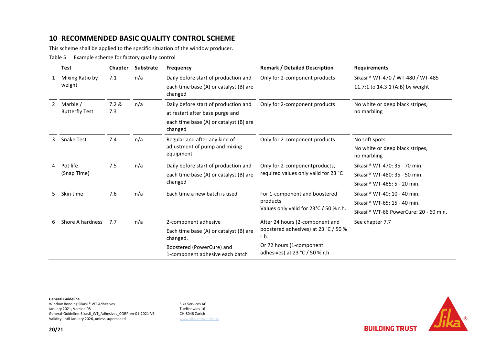## **10 RECOMMENDED BASIC QUALITY CONTROL SCHEME**

This scheme shall be applied to the specific situation of the window producer.

Table 5 Example scheme for factory quality control

<span id="page-19-0"></span>

|    | <b>Test</b>                       | Chapter | Substrate | <b>Frequency</b>                                                                          | <b>Remark / Detailed Description</b>                                                | <b>Requirements</b>                                          |
|----|-----------------------------------|---------|-----------|-------------------------------------------------------------------------------------------|-------------------------------------------------------------------------------------|--------------------------------------------------------------|
|    | Mixing Ratio by<br>weight         | 7.1     | n/a       | Daily before start of production and                                                      | Only for 2-component products                                                       | Sikasil® WT-470 / WT-480 / WT-485                            |
|    |                                   |         |           | each time base (A) or catalyst (B) are<br>changed                                         |                                                                                     | 11.7:1 to 14.3:1 (A:B) by weight                             |
| 2  | Marble /<br><b>Butterfly Test</b> | 7.2 &   | n/a       | Daily before start of production and                                                      | Only for 2-component products                                                       | No white or deep black stripes,<br>no marbling               |
|    |                                   | 7.3     |           | at restart after base purge and                                                           |                                                                                     |                                                              |
|    |                                   |         |           | each time base (A) or catalyst (B) are<br>changed                                         |                                                                                     |                                                              |
| 3  | <b>Snake Test</b>                 | 7.4     | n/a       | Regular and after any kind of<br>adjustment of pump and mixing<br>equipment               | Only for 2-component products                                                       | No soft spots                                                |
|    |                                   |         |           |                                                                                           |                                                                                     | No white or deep black stripes,<br>no marbling               |
|    | Pot life<br>(Snap Time)           | 7.5     | n/a       | Daily before start of production and<br>each time base (A) or catalyst (B) are<br>changed | Only for 2-component products,<br>required values only valid for 23 °C              | Sikasil® WT-470: 35 - 70 min.                                |
|    |                                   |         |           |                                                                                           |                                                                                     | Sikasil® WT-480: 35 - 50 min.                                |
|    |                                   |         |           |                                                                                           |                                                                                     | Sikasil® WT-485: 5 - 20 min.                                 |
| 5. | Skin time                         | 7.6     | n/a       | Each time a new batch is used                                                             | For 1-component and boostered<br>products<br>Values only valid for 23°C / 50 % r.h. | Sikasil® WT-40: 10 - 40 min.                                 |
|    |                                   |         |           |                                                                                           |                                                                                     | Sikasil® WT-65: 15 - 40 min.                                 |
|    |                                   |         |           |                                                                                           |                                                                                     | Sikasil® WT-66 PowerCure: 20 - 60 min.                       |
|    | Shore A hardness                  | 7.7     | n/a       | 2-component adhesive                                                                      | After 24 hours (2-component and<br>boostered adhesives) at 23 °C / 50 %<br>r.h.     | See chapter 7.7                                              |
|    |                                   |         |           | Each time base (A) or catalyst (B) are<br>changed.                                        |                                                                                     |                                                              |
|    |                                   |         |           |                                                                                           |                                                                                     | Boostered (PowerCure) and<br>1-component adhesive each batch |

**General Guideline**

Window Bonding Sikasil® WT Adhesives<br>
January 2021, Version 08<br>
Sika Services AG Sanuary 2021, Version 08 January 2021, Version 08<br>General-Guideline-Sikasil WT Adhesives CORP-en-01-2021-V8 CH-8048 Zurich General-Guideline-Sikasil\_WT\_Adhesives\_CORP-en-01-2021-V8 Validity until January 2026, unless superseded [www.sika.com/industry](http://www.sika.com/industry)